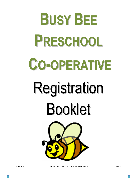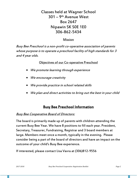# Classes held at Wagner School 301 – 9th Avenue West Box 2647 Nipawin SK S0E 1E0 306-862-5434

### Mission

Busy Bee Preschool is a non-profit co-operative association of parents whose purpose is to operate a preschool facility of high standards for 3 and 4 year olds.

Objectives of our Co-operative Preschool

- We promote learning through experience
- We encourage creativity
- We provide practice in school related skills
- We plan and direct activities to bring out the best in your child

# Busy Bee Preschool Information

## **Busy Bee Cooperative Board of Directors:**

The board is primarily made up of parents with children attending the current Busy Bee Year. We have 8 positions to fill each year. President, Secretary, Treasurer, Fundraising, Registrar and 3 board members at large. Members meet once a month, typically in the evening. Please consider being a part of the board of directors and have an impact on the outcome of your child's Busy Bee experience.

If interested, please contact Lisa Vavra at (306)812-9556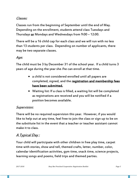## Classes:

Classes run from the beginning of September until the end of May. Depending on the enrollment, students attend class Tuesdays and Thursdays or Mondays and Wednesdays from 9:00 – 12:00.

There will be a 16 child cap for each class and we will run with no less than 13 students per class. Depending on number of applicants, there may be two separate classes.

### Age:

The child must be 3 by December 31 of the school year. If a child turns 3 years of age during the year she /he can enroll at that time.

- a child is not considered enrolled until all papers are completed, signed, and the registration and membership fees have been submitted.
- Waiting list: If a class is filled, a waiting list will be completed as registrations are received and you will be notified if a position becomes available.

### Supervision:

There will be no required supervision this year. However, if you would like to help out at any time, feel free to join the class or sign up to be on the substitute list in the event that a teacher or teacher assistant cannot make it to class.

# A Typical Day :

Your child will participate with other children in free play time, carpet time with stories, show and tell, themed crafts, letter, number, color, calendar identification activities, gym time, snack time, science projects, learning songs and poems, field trips and themed parties.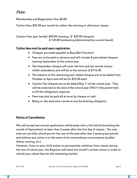# Fees:

Membership and Registration Fee: \$6.00

Tuition Fees: \$55.00 per month for either the morning or afternoon classes

Caution Fees (per family): \$40.00 cleaning (2 \$20.00 cheques) \$ 120.00 fundraising (determined by current board)

#### Tuition fees must be paid upon registration.

- Cheques are made payable to Busy Bee Preschool
- Fees are to be paid in advance and will include 8 post-dated cheques starting September of the school year
- The September cheque will cover the first and last month of your child's attendance and will be in the amount of \$116.00
- The balance of the remaining post-dated cheques are to be dated from October to April and will be for \$55.00 each
- Caution Fee cheques are to be dated May 1<sup>st</sup> of the school year. They will be endorsed at the end of the school year ONLY if the parent fails to fill the obligations required
- Fees may also be paid all at once by cheque or cash
- Being on the executive counts as one fundraising obligation

#### Notice of Cancellation:

We will accept last minute application withdrawals with a full refund (including the month of September) no later than 2 weeks after the first day of classes. The only time we can fully refund you for the rest of the year after that 2 week grace period and without any notice is in the event of an extraordinary circumstance (sudden illness, moving, etc.)

However, if you or your child wishes to permanently withdraw from classes during the rest of school year, the Registrar will need one month's written notice in order to refund your school fees for the remaining months.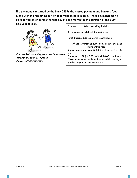If a payment is returned by the bank (NSF), the missed payment and banking fees along with the remaining tuition fees must be paid in cash. These payments are to be received on or before the first day of each month for the duration of the Busy Bee School year.



Cultural Assistance Programs may be available through the town of Nipawin. Please call 306-862-9866

| Example: | When enrolling 1 child:                                                 |
|----------|-------------------------------------------------------------------------|
|          | 11 cheques in total will be submitted.                                  |
|          | First Cheque: \$116.00 dated September 1                                |
|          | (1st and last month's tuition plus registration and<br>membership fees) |
|          | 7 post-dated cheques: \$55.00 each dated Oct 1 to                       |
| Apr 1    |                                                                         |
|          | 3 cheques: 1 @ \$120.00 and 2 @ 20.00 dated May 1.                      |
|          | These two cheques will only be cashed if cleaning and                   |
|          | fundraising obligations are not met.                                    |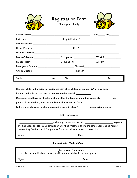|                                                                                                                                                                                                                                                                                                                                                                                                                                                                             | <b>Registration Form</b><br>Please print clearly.                                                                                                              |                         |  |
|-----------------------------------------------------------------------------------------------------------------------------------------------------------------------------------------------------------------------------------------------------------------------------------------------------------------------------------------------------------------------------------------------------------------------------------------------------------------------------|----------------------------------------------------------------------------------------------------------------------------------------------------------------|-------------------------|--|
|                                                                                                                                                                                                                                                                                                                                                                                                                                                                             |                                                                                                                                                                | boy_______ girl________ |  |
|                                                                                                                                                                                                                                                                                                                                                                                                                                                                             |                                                                                                                                                                |                         |  |
|                                                                                                                                                                                                                                                                                                                                                                                                                                                                             |                                                                                                                                                                |                         |  |
|                                                                                                                                                                                                                                                                                                                                                                                                                                                                             |                                                                                                                                                                |                         |  |
|                                                                                                                                                                                                                                                                                                                                                                                                                                                                             |                                                                                                                                                                |                         |  |
|                                                                                                                                                                                                                                                                                                                                                                                                                                                                             | Mother's Name: _________________________Occupation:________________________Work # _________________                                                            |                         |  |
|                                                                                                                                                                                                                                                                                                                                                                                                                                                                             | Father's Name: ___________________________Occupation: _________________________Work # ______________                                                           |                         |  |
|                                                                                                                                                                                                                                                                                                                                                                                                                                                                             |                                                                                                                                                                |                         |  |
|                                                                                                                                                                                                                                                                                                                                                                                                                                                                             |                                                                                                                                                                |                         |  |
|                                                                                                                                                                                                                                                                                                                                                                                                                                                                             |                                                                                                                                                                |                         |  |
| Has your child had previous experiences with other children's groups his/her own age? ________<br>Is your child able to take care of their own toilet needs? ____________<br>Does your child have any health problems that the teacher should be aware of? ________ If yes<br>please fill out the Busy Bee Student Medical Information form.<br>Is there a child custody order or a restraint order in place? _______ If yes, provide details.<br><b>Field Trip Consent</b> |                                                                                                                                                                |                         |  |
|                                                                                                                                                                                                                                                                                                                                                                                                                                                                             | _____________________do hereby consent for my child ____________________________                                                                               | to go on                |  |
|                                                                                                                                                                                                                                                                                                                                                                                                                                                                             | any excursions or field tips undertaken by Busy Bee Preschool during the school year and do hereby                                                             |                         |  |
|                                                                                                                                                                                                                                                                                                                                                                                                                                                                             | release Busy Bee Preschool Co-operative from any claims pursuant to these trips.                                                                               |                         |  |
|                                                                                                                                                                                                                                                                                                                                                                                                                                                                             |                                                                                                                                                                |                         |  |
| <b>Permission for Medical Care:</b>                                                                                                                                                                                                                                                                                                                                                                                                                                         |                                                                                                                                                                |                         |  |
|                                                                                                                                                                                                                                                                                                                                                                                                                                                                             | _________________________ give consent for my child, ___________________________<br>to receive any medical care necessary if I am unavailable in an emergency. |                         |  |
|                                                                                                                                                                                                                                                                                                                                                                                                                                                                             |                                                                                                                                                                |                         |  |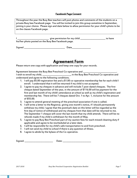#### Facebook Page Consent

| Throughout the year the Busy Bee teachers will post photos and comments of the students on a        |
|-----------------------------------------------------------------------------------------------------|
| private Busy bee Facebook page. You will be invited to join this group sometime in September,       |
| joining is your choice. Please sign and date below to allow permission for your child's photo to be |
| on the classes Facebook page.                                                                       |

| give permission for my child                        | to have |
|-----------------------------------------------------|---------|
| his/her photo posted on the Busy Bee Facebook page. |         |

| Sianed<br>--- |  |
|---------------|--|
|               |  |

# Agreement Form

Please return one copy with application and keep one copy for your records.

| Agreement between the Busy Bee Preschool Co-operative and |                                              |
|-----------------------------------------------------------|----------------------------------------------|
| I wish to enroll my child, _                              | s in the Busy Bee Preschool Co-operative and |
| understand and agree to the following conditions.         |                                              |

- 1. I will pay \$5.00 registration fee and a \$1.00 co-operative membership fee for each child I enroll. I understand that it will be returned if my child is not accepted.
- 2. I agree to pay my cheques in advance and will include 7 post-dated cheques. The first cheque dated September of the year, in the amount of \$116.00 will be payment for the first and last month of my child's attendance at school as well as my child's registration and membership fee. There will be 7 cheques dated Oct. 1 to Apr. 1, inclusive for the amount of \$55.00.
- 3. I agree to attend general meeting of the preschool association if one is called.
- 4. I will write a letter to the Registrar, giving one month's notice, if I should permanently withdraw my child, I agree that the postmark date on this letter will be regarded as the first day of notice of withdrawal and my cheques from that date will be returned to me. The September 1 cheque will cover the last month that my child attends. There will be no refunds made if my child is withdrawn for the month of May.
- 5. I agree to pay Busy Bee Preschool part of my caution fees for each missed cleaning duty if applicable and agree to be rescheduled at a later date.
- 6. I will be responsible for my child's safe transportation to and from preschool.
- 7. I will not send my child to school if there is any question of illness.
- 8. I agree to abide by the bylaws of the Co-operative.

Signed: \_\_\_\_\_\_\_\_\_\_\_\_\_\_\_\_\_\_\_\_\_\_\_\_\_\_\_ Date: \_\_\_\_\_\_\_\_\_\_\_\_\_\_\_\_\_\_\_\_\_\_\_\_\_\_\_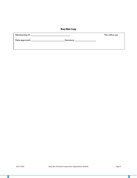## Busy Bee Copy

| Membership $\#$ : |                                                                                                                | *for office use |
|-------------------|----------------------------------------------------------------------------------------------------------------|-----------------|
| Date approved: _  | Secretary: the contract of the contract of the contract of the contract of the contract of the contract of the |                 |
|                   |                                                                                                                |                 |